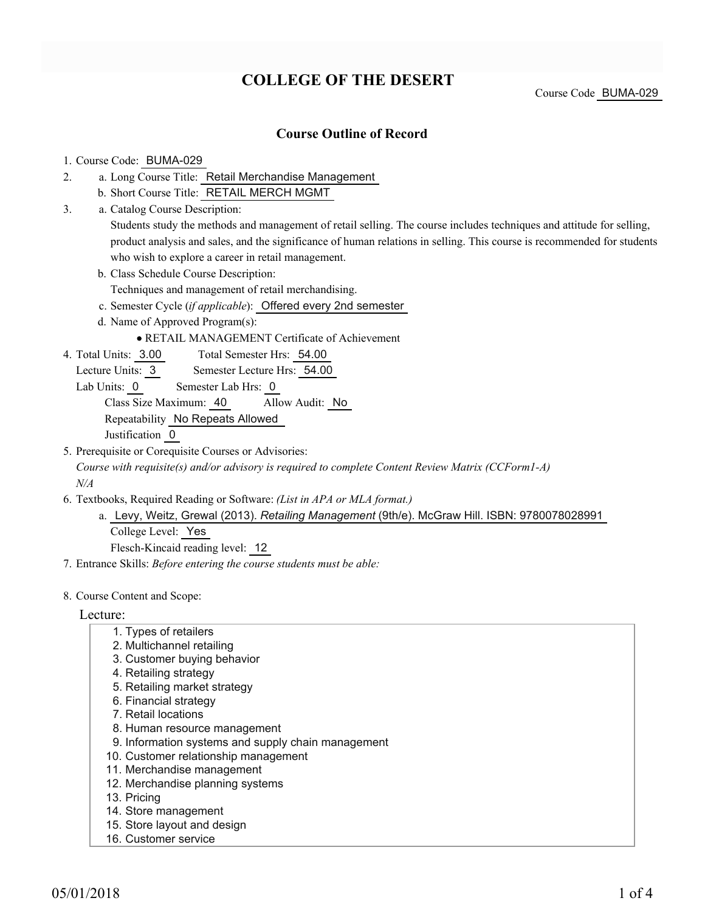# **COLLEGE OF THE DESERT**

Course Code BUMA-029

### **Course Outline of Record**

### 1. Course Code: BUMA-029

- a. Long Course Title: Retail Merchandise Management 2.
	- b. Short Course Title: RETAIL MERCH MGMT
- Catalog Course Description: a. 3.

Students study the methods and management of retail selling. The course includes techniques and attitude for selling, product analysis and sales, and the significance of human relations in selling. This course is recommended for students who wish to explore a career in retail management.

b. Class Schedule Course Description:

Techniques and management of retail merchandising.

- c. Semester Cycle (*if applicable*): Offered every 2nd semester
- d. Name of Approved Program(s):

RETAIL MANAGEMENT Certificate of Achievement

Total Semester Hrs: 54.00 4. Total Units: 3.00

Lecture Units: 3 Semester Lecture Hrs: 54.00

Lab Units: 0 Semester Lab Hrs: 0

Class Size Maximum: 40 Allow Audit: No

Repeatability No Repeats Allowed

Justification 0

5. Prerequisite or Corequisite Courses or Advisories:

*Course with requisite(s) and/or advisory is required to complete Content Review Matrix (CCForm1-A) N/A*

- Textbooks, Required Reading or Software: *(List in APA or MLA format.)* 6.
	- Levy, Weitz, Grewal (2013). *Retailing Management* (9th/e). McGraw Hill. ISBN: 9780078028991 a. College Level: Yes

Flesch-Kincaid reading level: 12

7. Entrance Skills: *Before entering the course students must be able:*

#### 8. Course Content and Scope:

Lecture:

- 1. Types of retailers
- 2. Multichannel retailing
- 3. Customer buying behavior
- 4. Retailing strategy
- 5. Retailing market strategy
- 6. Financial strategy
- 7. Retail locations
- 8. Human resource management
- 9. Information systems and supply chain management
- 10. Customer relationship management
- 11. Merchandise management
- 12. Merchandise planning systems
- 13. Pricing
- 14. Store management
- 15. Store layout and design
- 16. Customer service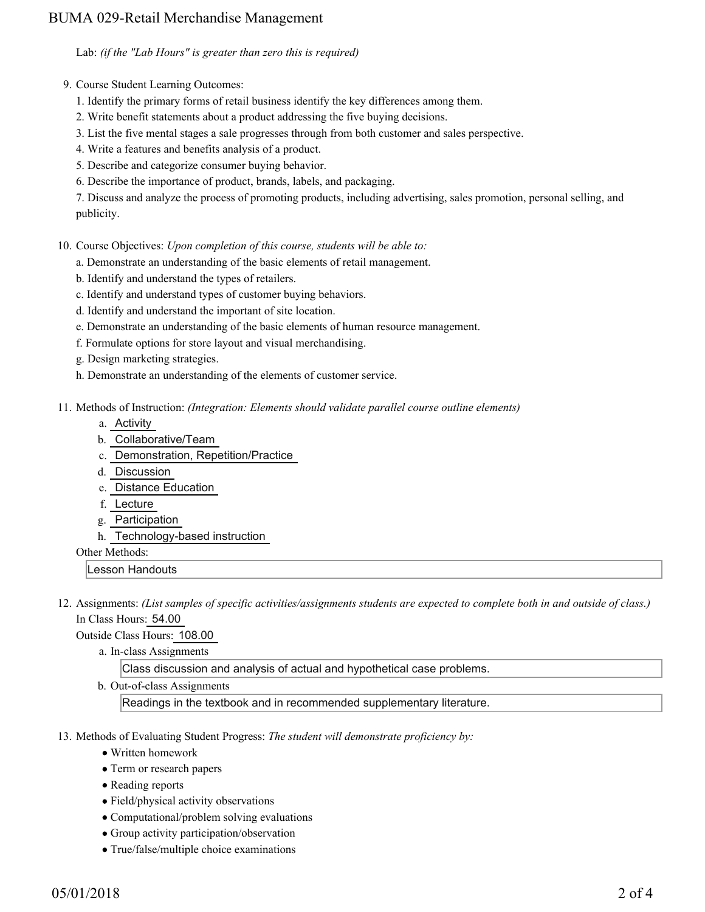## BUMA 029-Retail Merchandise Management

Lab: *(if the "Lab Hours" is greater than zero this is required)*

- 9. Course Student Learning Outcomes:
	- 1. Identify the primary forms of retail business identify the key differences among them.
	- 2. Write benefit statements about a product addressing the five buying decisions.
	- 3. List the five mental stages a sale progresses through from both customer and sales perspective.
	- 4. Write a features and benefits analysis of a product.
	- 5. Describe and categorize consumer buying behavior.
	- 6. Describe the importance of product, brands, labels, and packaging.

7. Discuss and analyze the process of promoting products, including advertising, sales promotion, personal selling, and publicity.

10. Course Objectives: Upon completion of this course, students will be able to:

- a. Demonstrate an understanding of the basic elements of retail management.
- b. Identify and understand the types of retailers.
- c. Identify and understand types of customer buying behaviors.
- d. Identify and understand the important of site location.
- e. Demonstrate an understanding of the basic elements of human resource management.
- f. Formulate options for store layout and visual merchandising.
- g. Design marketing strategies.
- h. Demonstrate an understanding of the elements of customer service.
- Methods of Instruction: *(Integration: Elements should validate parallel course outline elements)* 11.
	- a. Activity
	- b. Collaborative/Team
	- c. Demonstration, Repetition/Practice
	- d. Discussion
	- e. Distance Education
	- f. Lecture
	- g. Participation
	- h. Technology-based instruction

Other Methods:

Lesson Handouts

12. Assignments: (List samples of specific activities/assignments students are expected to complete both in and outside of class.) In Class Hours: 54.00

Outside Class Hours: 108.00

a. In-class Assignments

Class discussion and analysis of actual and hypothetical case problems.

b. Out-of-class Assignments

Readings in the textbook and in recommended supplementary literature.

- 13. Methods of Evaluating Student Progress: The student will demonstrate proficiency by:
	- Written homework
	- Term or research papers
	- Reading reports
	- Field/physical activity observations
	- Computational/problem solving evaluations
	- Group activity participation/observation
	- True/false/multiple choice examinations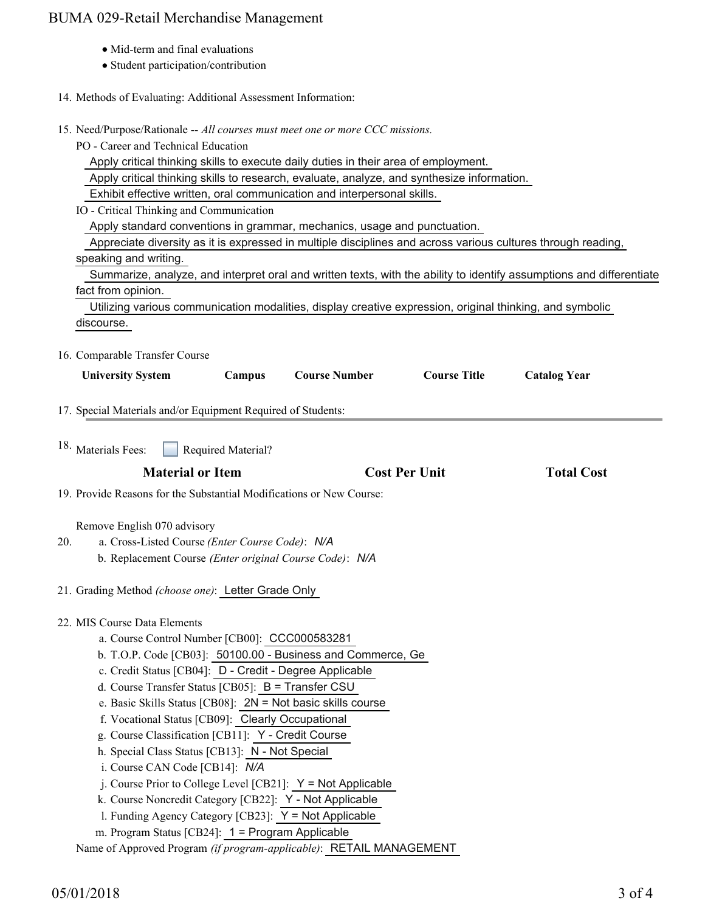## BUMA 029-Retail Merchandise Management

- Mid-term and final evaluations
- Student participation/contribution
- 14. Methods of Evaluating: Additional Assessment Information:
- 15. Need/Purpose/Rationale -- All courses must meet one or more CCC missions.
	- PO Career and Technical Education

Apply critical thinking skills to execute daily duties in their area of employment.

Apply critical thinking skills to research, evaluate, analyze, and synthesize information.

Exhibit effective written, oral communication and interpersonal skills.

IO - Critical Thinking and Communication

Apply standard conventions in grammar, mechanics, usage and punctuation.

Appreciate diversity as it is expressed in multiple disciplines and across various cultures through reading,

### speaking and writing.

 Summarize, analyze, and interpret oral and written texts, with the ability to identify assumptions and differentiate fact from opinion.

 Utilizing various communication modalities, display creative expression, original thinking, and symbolic discourse.

16. Comparable Transfer Course

| <b>University System</b>                                     | <b>Campus</b>      | <b>Course Number</b> | <b>Course Title</b>  | <b>Catalog Year</b> |  |
|--------------------------------------------------------------|--------------------|----------------------|----------------------|---------------------|--|
| 17. Special Materials and/or Equipment Required of Students: |                    |                      |                      |                     |  |
| <sup>18.</sup> Materials Fees:                               | Required Material? |                      |                      |                     |  |
| <b>Material or Item</b>                                      |                    |                      | <b>Cost Per Unit</b> | <b>Total Cost</b>   |  |

19. Provide Reasons for the Substantial Modifications or New Course:

### Remove English 070 advisory

- a. Cross-Listed Course *(Enter Course Code)*: *N/A* b. Replacement Course *(Enter original Course Code)*: *N/A* 20.
	-

21. Grading Method *(choose one)*: Letter Grade Only

## 22. MIS Course Data Elements

- a. Course Control Number [CB00]: CCC000583281
- b. T.O.P. Code [CB03]: 50100.00 Business and Commerce, Ge
- c. Credit Status [CB04]: D Credit Degree Applicable
- d. Course Transfer Status [CB05]: B = Transfer CSU
- e. Basic Skills Status [CB08]: 2N = Not basic skills course
- f. Vocational Status [CB09]: Clearly Occupational
- g. Course Classification [CB11]: Y Credit Course
- h. Special Class Status [CB13]: N Not Special
- i. Course CAN Code [CB14]: *N/A*
- j. Course Prior to College Level [CB21]: Y = Not Applicable
- k. Course Noncredit Category [CB22]: Y Not Applicable
- l. Funding Agency Category [CB23]: Y = Not Applicable
- m. Program Status [CB24]: 1 = Program Applicable

Name of Approved Program *(if program-applicable)*: RETAIL MANAGEMENT